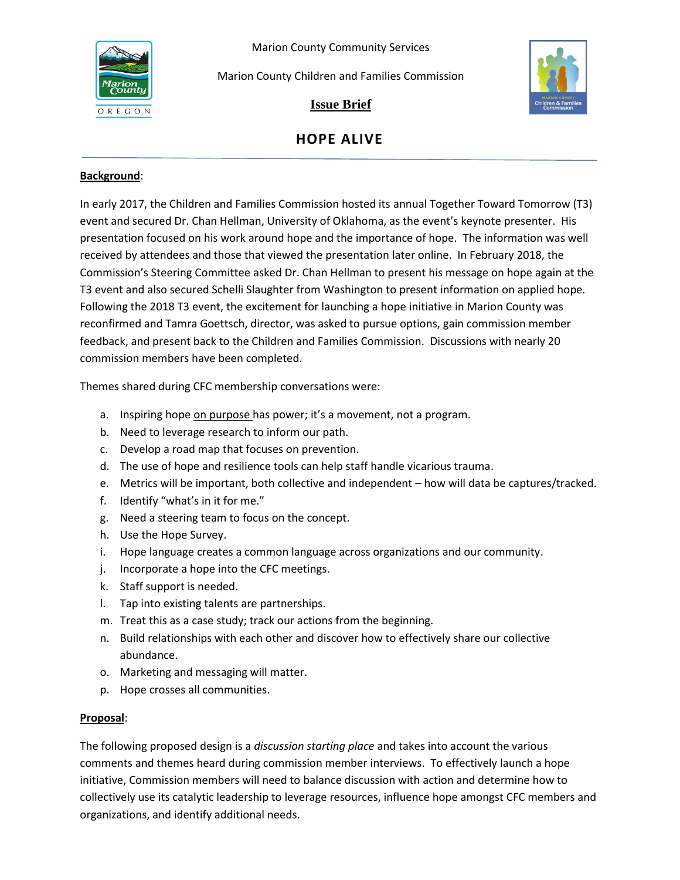Marion County Community Services



Marion County Children and Families Commission



**Issue Brief**

# **HOPE ALIVE**

## **Background**:

In early 2017, the Children and Families Commission hosted its annual Together Toward Tomorrow (T3) event and secured Dr. Chan Hellman, University of Oklahoma, as the event's keynote presenter. His presentation focused on his work around hope and the importance of hope. The information was well received by attendees and those that viewed the presentation later online. In February 2018, the Commission's Steering Committee asked Dr. Chan Hellman to present his message on hope again at the T3 event and also secured Schelli Slaughter from Washington to present information on applied hope*.*  Following the 2018 T3 event, the excitement for launching a hope initiative in Marion County was reconfirmed and Tamra Goettsch, director, was asked to pursue options, gain commission member feedback, and present back to the Children and Families Commission. Discussions with nearly 20 commission members have been completed.

Themes shared during CFC membership conversations were:

- a. Inspiring hope on purpose has power; it's a movement, not a program.
- b. Need to leverage research to inform our path.
- c. Develop a road map that focuses on prevention.
- d. The use of hope and resilience tools can help staff handle vicarious trauma.
- e. Metrics will be important, both collective and independent how will data be captures/tracked.
- f. Identify "what's in it for me."
- g. Need a steering team to focus on the concept.
- h. Use the Hope Survey.
- i. Hope language creates a common language across organizations and our community.
- j. Incorporate a hope into the CFC meetings.
- k. Staff support is needed.
- l. Tap into existing talents are partnerships.
- m. Treat this as a case study; track our actions from the beginning.
- n. Build relationships with each other and discover how to effectively share our collective abundance.
- o. Marketing and messaging will matter.
- p. Hope crosses all communities.

## **Proposal**:

The following proposed design is a *discussion starting place* and takes into account the various comments and themes heard during commission member interviews. To effectively launch a hope initiative, Commission members will need to balance discussion with action and determine how to collectively use its catalytic leadership to leverage resources, influence hope amongst CFC members and organizations, and identify additional needs.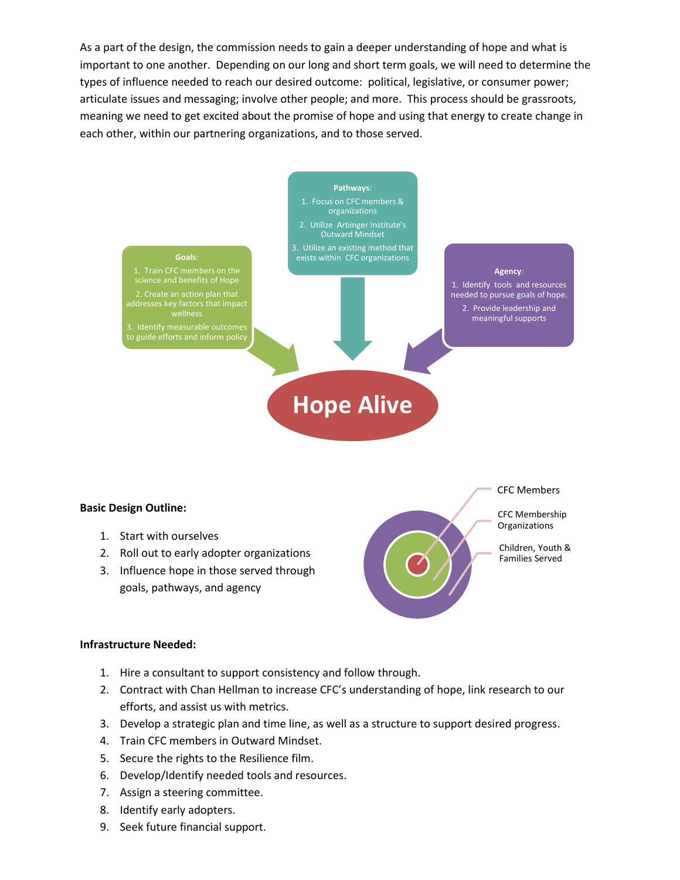As a part of the design, the commission needs to gain a deeper understanding of hope and what is important to one another. Depending on our long and short term goals, we will need to determine the types of influence needed to reach our desired outcome: political, legislative, or consumer power; articulate issues and messaging; involve other people; and more. This process should be grassroots, meaning we need to get excited about the promise of hope and using that energy to create change in each other, within our partnering organizations, and to those served.



#### **Basic Design Outline:**

- 1. Start with ourselves
- 2. Roll out to early adopter organizations
- 3. Influence hope in those served through goals, pathways, and agency



CFC Membership **Organizations** 

Children, Youth & Families Served

#### **Infrastructure Needed:**

- 1. Hire a consultant to support consistency and follow through.
- 2. Contract with Chan Hellman to increase CFC's understanding of hope, link research to our efforts, and assist us with metrics.
- 3. Develop a strategic plan and time line, as well as a structure to support desired progress.
- 4. Train CFC members in Outward Mindset.
- 5. Secure the rights to the Resilience film.
- 6. Develop/Identify needed tools and resources.
- 7. Assign a steering committee.
- 8. Identify early adopters.
- 9. Seek future financial support.